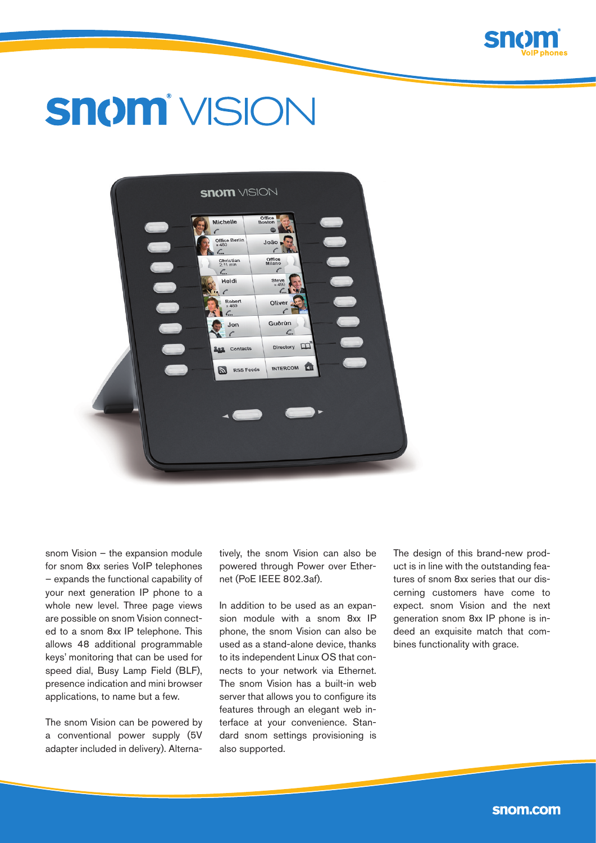

# **Snom** VISION



snom Vision – the expansion module for snom 8xx series VoIP telephones – expands the functional capability of your next generation IP phone to a whole new level. Three page views are possible on snom Vision connected to a snom 8xx IP telephone. This allows 48 additional programmable keys' monitoring that can be used for speed dial, Busy Lamp Field (BLF), presence indication and mini browser applications, to name but a few.

The snom Vision can be powered by a conventional power supply (5V adapter included in delivery). Alternatively, the snom Vision can also be powered through Power over Ethernet (PoE IEEE 802.3af).

In addition to be used as an expansion module with a snom 8xx IP phone, the snom Vision can also be used as a stand-alone device, thanks to its independent Linux OS that connects to your network via Ethernet. The snom Vision has a built-in web server that allows you to configure its features through an elegant web interface at your convenience. Standard snom settings provisioning is also supported.

The design of this brand-new product is in line with the outstanding features of snom 8xx series that our discerning customers have come to expect. snom Vision and the next generation snom 8xx IP phone is indeed an exquisite match that combines functionality with grace.